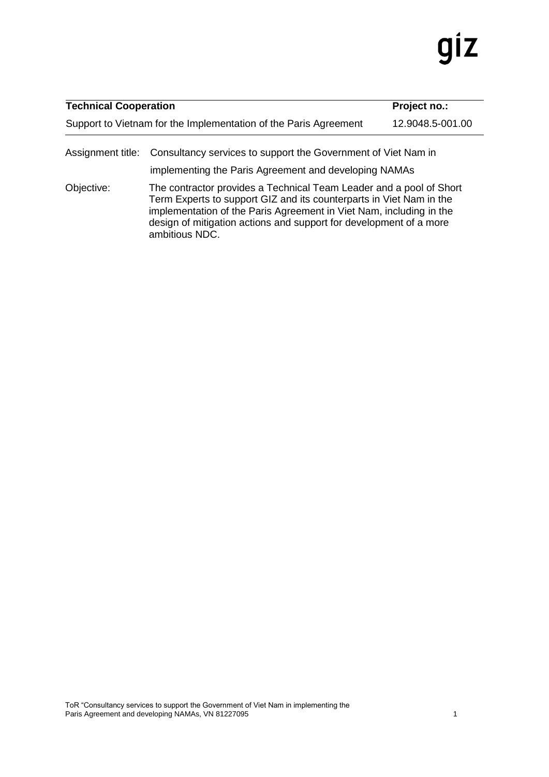# gız

| <b>Technical Cooperation</b>                                     |  |  |  |  | Project no.: |                  |   |  |
|------------------------------------------------------------------|--|--|--|--|--------------|------------------|---|--|
| Support to Vietnam for the Implementation of the Paris Agreement |  |  |  |  |              | 12.9048.5-001.00 |   |  |
|                                                                  |  |  |  |  |              |                  | . |  |

Assignment title: Consultancy services to support the Government of Viet Nam in

implementing the Paris Agreement and developing NAMAs

Objective: The contractor provides a Technical Team Leader and a pool of Short Term Experts to support GIZ and its counterparts in Viet Nam in the implementation of the Paris Agreement in Viet Nam, including in the design of mitigation actions and support for development of a more ambitious NDC.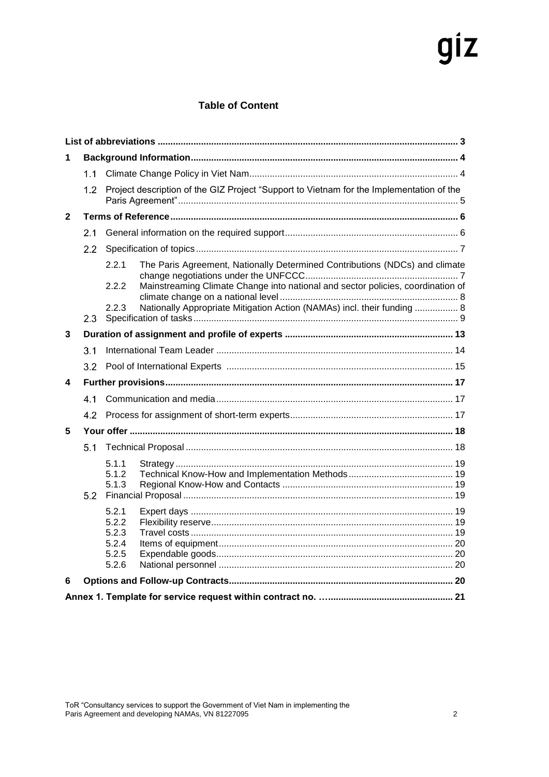# giz

#### **Table of Content**

<span id="page-1-0"></span>

| 1            |         |                                                    |                                                                                          |  |  |  |  |
|--------------|---------|----------------------------------------------------|------------------------------------------------------------------------------------------|--|--|--|--|
|              | 1.1     |                                                    |                                                                                          |  |  |  |  |
|              | 1.2     |                                                    | Project description of the GIZ Project "Support to Vietnam for the Implementation of the |  |  |  |  |
| $\mathbf{2}$ |         |                                                    |                                                                                          |  |  |  |  |
|              | 21      |                                                    |                                                                                          |  |  |  |  |
|              | $2.2\,$ |                                                    |                                                                                          |  |  |  |  |
|              |         | 2.2.1                                              | The Paris Agreement, Nationally Determined Contributions (NDCs) and climate              |  |  |  |  |
|              |         | 2.2.2                                              | Mainstreaming Climate Change into national and sector policies, coordination of          |  |  |  |  |
|              | 2.3     | 2.2.3                                              | Nationally Appropriate Mitigation Action (NAMAs) incl. their funding  8                  |  |  |  |  |
| 3            |         |                                                    |                                                                                          |  |  |  |  |
|              | 3.1     |                                                    |                                                                                          |  |  |  |  |
|              |         |                                                    |                                                                                          |  |  |  |  |
| 4            |         |                                                    |                                                                                          |  |  |  |  |
|              | 41      |                                                    |                                                                                          |  |  |  |  |
|              | 4.2     |                                                    |                                                                                          |  |  |  |  |
| 5            |         |                                                    |                                                                                          |  |  |  |  |
|              | 5.1     |                                                    |                                                                                          |  |  |  |  |
|              | 5.2     | 5.1.1<br>5.1.2<br>5.1.3                            |                                                                                          |  |  |  |  |
|              |         | 5.2.1<br>5.2.2<br>5.2.3<br>5.2.4<br>5.2.5<br>5.2.6 |                                                                                          |  |  |  |  |
| 6            |         |                                                    |                                                                                          |  |  |  |  |
|              |         |                                                    |                                                                                          |  |  |  |  |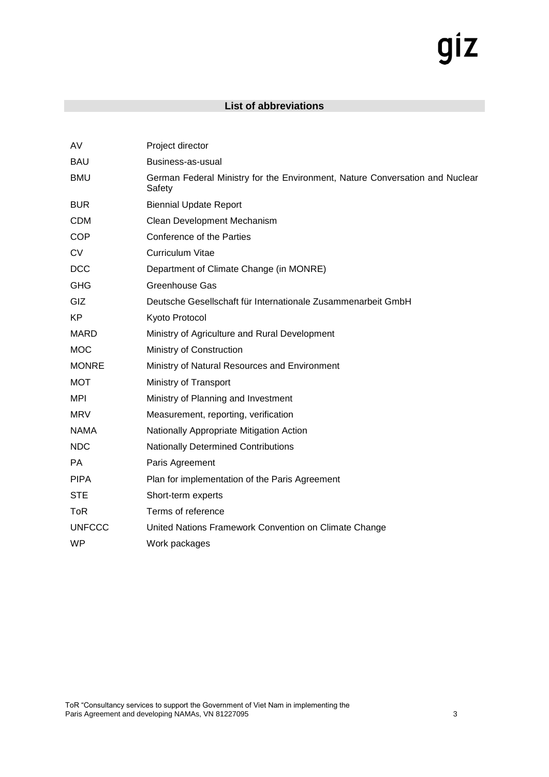# giz

#### **List of abbreviations**

| AV            | Project director                                                                       |
|---------------|----------------------------------------------------------------------------------------|
| <b>BAU</b>    | Business-as-usual                                                                      |
| <b>BMU</b>    | German Federal Ministry for the Environment, Nature Conversation and Nuclear<br>Safety |
| <b>BUR</b>    | <b>Biennial Update Report</b>                                                          |
| <b>CDM</b>    | Clean Development Mechanism                                                            |
| <b>COP</b>    | Conference of the Parties                                                              |
| <b>CV</b>     | <b>Curriculum Vitae</b>                                                                |
| <b>DCC</b>    | Department of Climate Change (in MONRE)                                                |
| <b>GHG</b>    | <b>Greenhouse Gas</b>                                                                  |
| GIZ           | Deutsche Gesellschaft für Internationale Zusammenarbeit GmbH                           |
| <b>KP</b>     | Kyoto Protocol                                                                         |
| <b>MARD</b>   | Ministry of Agriculture and Rural Development                                          |
| <b>MOC</b>    | Ministry of Construction                                                               |
| <b>MONRE</b>  | Ministry of Natural Resources and Environment                                          |
| <b>MOT</b>    | Ministry of Transport                                                                  |
| MPI           | Ministry of Planning and Investment                                                    |
| <b>MRV</b>    | Measurement, reporting, verification                                                   |
| <b>NAMA</b>   | Nationally Appropriate Mitigation Action                                               |
| <b>NDC</b>    | <b>Nationally Determined Contributions</b>                                             |
| <b>PA</b>     | Paris Agreement                                                                        |
| <b>PIPA</b>   | Plan for implementation of the Paris Agreement                                         |
| <b>STE</b>    | Short-term experts                                                                     |
| <b>ToR</b>    | Terms of reference                                                                     |
| <b>UNFCCC</b> | United Nations Framework Convention on Climate Change                                  |
| <b>WP</b>     | Work packages                                                                          |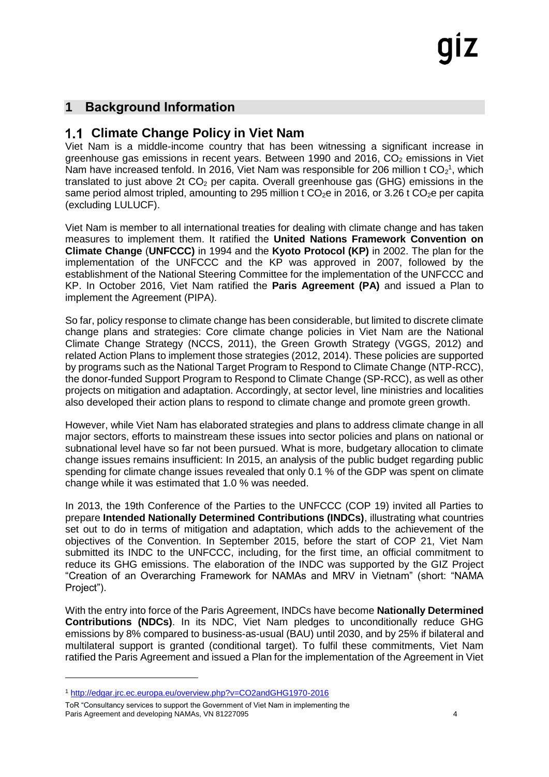## <span id="page-3-0"></span>**1 Background Information**

## <span id="page-3-1"></span>**Climate Change Policy in Viet Nam**

Viet Nam is a middle-income country that has been witnessing a significant increase in greenhouse gas emissions in recent years. Between 1990 and 2016,  $CO<sub>2</sub>$  emissions in Viet Nam have increased tenfold. In 2016, Viet Nam was responsible for 206 million t  $CO<sub>2</sub><sup>1</sup>$ , which translated to just above 2t  $CO<sub>2</sub>$  per capita. Overall greenhouse gas (GHG) emissions in the same period almost tripled, amounting to 295 million t  $CO<sub>2</sub>e$  in 2016, or 3.26 t  $CO<sub>2</sub>e$  per capita (excluding LULUCF).

Viet Nam is member to all international treaties for dealing with climate change and has taken measures to implement them. It ratified the **United Nations Framework Convention on Climate Change** (**UNFCCC)** in 1994 and the **Kyoto Protocol (KP)** in 2002. The plan for the implementation of the UNFCCC and the KP was approved in 2007, followed by the establishment of the National Steering Committee for the implementation of the UNFCCC and KP. In October 2016, Viet Nam ratified the **Paris Agreement (PA)** and issued a Plan to implement the Agreement (PIPA).

So far, policy response to climate change has been considerable, but limited to discrete climate change plans and strategies: Core climate change policies in Viet Nam are the National Climate Change Strategy (NCCS, 2011), the Green Growth Strategy (VGGS, 2012) and related Action Plans to implement those strategies (2012, 2014). These policies are supported by programs such as the National Target Program to Respond to Climate Change (NTP-RCC), the donor-funded Support Program to Respond to Climate Change (SP-RCC), as well as other projects on mitigation and adaptation. Accordingly, at sector level, line ministries and localities also developed their action plans to respond to climate change and promote green growth.

However, while Viet Nam has elaborated strategies and plans to address climate change in all major sectors, efforts to mainstream these issues into sector policies and plans on national or subnational level have so far not been pursued. What is more, budgetary allocation to climate change issues remains insufficient: In 2015, an analysis of the public budget regarding public spending for climate change issues revealed that only 0.1 % of the GDP was spent on climate change while it was estimated that 1.0 % was needed.

In 2013, the 19th Conference of the Parties to the UNFCCC (COP 19) invited all Parties to prepare **Intended Nationally Determined Contributions (INDCs)**, illustrating what countries set out to do in terms of mitigation and adaptation, which adds to the achievement of the objectives of the Convention. In September 2015, before the start of COP 21, Viet Nam submitted its INDC to the UNFCCC, including, for the first time, an official commitment to reduce its GHG emissions. The elaboration of the INDC was supported by the GIZ Project "Creation of an Overarching Framework for NAMAs and MRV in Vietnam" (short: "NAMA Project").

With the entry into force of the Paris Agreement, INDCs have become **Nationally Determined Contributions (NDCs)**. In its NDC, Viet Nam pledges to unconditionally reduce GHG emissions by 8% compared to business-as-usual (BAU) until 2030, and by 25% if bilateral and multilateral support is granted (conditional target). To fulfil these commitments, Viet Nam ratified the Paris Agreement and issued a Plan for the implementation of the Agreement in Viet

-

<sup>1</sup> <http://edgar.jrc.ec.europa.eu/overview.php?v=CO2andGHG1970-2016>

ToR "Consultancy services to support the Government of Viet Nam in implementing the Paris Agreement and developing NAMAs, VN 81227095 **44** Assembly 10 and 20 and 20 and 20 and 20 and 20 and 20 and 20 and 20 and 20 and 20 and 20 and 20 and 20 and 20 and 20 and 20 and 20 and 20 and 20 and 20 and 20 and 20 a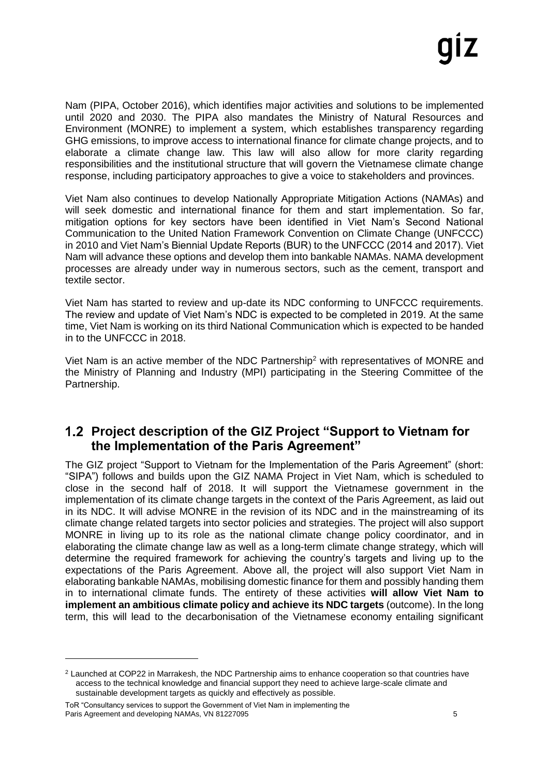Nam (PIPA, October 2016), which identifies major activities and solutions to be implemented until 2020 and 2030. The PIPA also mandates the Ministry of Natural Resources and Environment (MONRE) to implement a system, which establishes transparency regarding GHG emissions, to improve access to international finance for climate change projects, and to elaborate a climate change law. This law will also allow for more clarity regarding responsibilities and the institutional structure that will govern the Vietnamese climate change response, including participatory approaches to give a voice to stakeholders and provinces.

Viet Nam also continues to develop Nationally Appropriate Mitigation Actions (NAMAs) and will seek domestic and international finance for them and start implementation. So far, mitigation options for key sectors have been identified in Viet Nam's Second National Communication to the United Nation Framework Convention on Climate Change (UNFCCC) in 2010 and Viet Nam's Biennial Update Reports (BUR) to the UNFCCC (2014 and 2017). Viet Nam will advance these options and develop them into bankable NAMAs. NAMA development processes are already under way in numerous sectors, such as the cement, transport and textile sector.

Viet Nam has started to review and up-date its NDC conforming to UNFCCC requirements. The review and update of Viet Nam's NDC is expected to be completed in 2019. At the same time, Viet Nam is working on its third National Communication which is expected to be handed in to the UNFCCC in 2018.

Viet Nam is an active member of the NDC Partnership<sup>2</sup> with representatives of MONRE and the Ministry of Planning and Industry (MPI) participating in the Steering Committee of the Partnership.

#### <span id="page-4-0"></span>**Project description of the GIZ Project "Support to Vietnam for the Implementation of the Paris Agreement"**

The GIZ project "Support to Vietnam for the Implementation of the Paris Agreement" (short: "SIPA") follows and builds upon the GIZ NAMA Project in Viet Nam, which is scheduled to close in the second half of 2018. It will support the Vietnamese government in the implementation of its climate change targets in the context of the Paris Agreement, as laid out in its NDC. It will advise MONRE in the revision of its NDC and in the mainstreaming of its climate change related targets into sector policies and strategies. The project will also support MONRE in living up to its role as the national climate change policy coordinator, and in elaborating the climate change law as well as a long-term climate change strategy, which will determine the required framework for achieving the country's targets and living up to the expectations of the Paris Agreement. Above all, the project will also support Viet Nam in elaborating bankable NAMAs, mobilising domestic finance for them and possibly handing them in to international climate funds. The entirety of these activities **will allow Viet Nam to implement an ambitious climate policy and achieve its NDC targets** (outcome). In the long term, this will lead to the decarbonisation of the Vietnamese economy entailing significant

1

<sup>2</sup> Launched at COP22 in Marrakesh, the NDC Partnership aims to enhance cooperation so that countries have access to the technical knowledge and financial support they need to achieve large-scale climate and sustainable development targets as quickly and effectively as possible.

ToR "Consultancy services to support the Government of Viet Nam in implementing the Paris Agreement and developing NAMAs, VN 81227095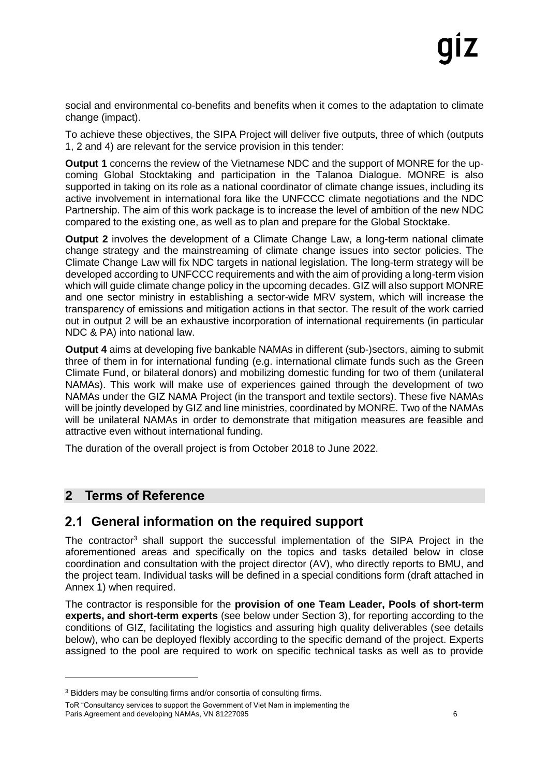social and environmental co-benefits and benefits when it comes to the adaptation to climate change (impact).

To achieve these objectives, the SIPA Project will deliver five outputs, three of which (outputs 1, 2 and 4) are relevant for the service provision in this tender:

**Output 1** concerns the review of the Vietnamese NDC and the support of MONRE for the upcoming Global Stocktaking and participation in the Talanoa Dialogue. MONRE is also supported in taking on its role as a national coordinator of climate change issues, including its active involvement in international fora like the UNFCCC climate negotiations and the NDC Partnership. The aim of this work package is to increase the level of ambition of the new NDC compared to the existing one, as well as to plan and prepare for the Global Stocktake.

**Output 2** involves the development of a Climate Change Law, a long-term national climate change strategy and the mainstreaming of climate change issues into sector policies. The Climate Change Law will fix NDC targets in national legislation. The long-term strategy will be developed according to UNFCCC requirements and with the aim of providing a long-term vision which will guide climate change policy in the upcoming decades. GIZ will also support MONRE and one sector ministry in establishing a sector-wide MRV system, which will increase the transparency of emissions and mitigation actions in that sector. The result of the work carried out in output 2 will be an exhaustive incorporation of international requirements (in particular NDC & PA) into national law.

**Output 4** aims at developing five bankable NAMAs in different (sub-)sectors, aiming to submit three of them in for international funding (e.g. international climate funds such as the Green Climate Fund, or bilateral donors) and mobilizing domestic funding for two of them (unilateral NAMAs). This work will make use of experiences gained through the development of two NAMAs under the GIZ NAMA Project (in the transport and textile sectors). These five NAMAs will be jointly developed by GIZ and line ministries, coordinated by MONRE. Two of the NAMAs will be unilateral NAMAs in order to demonstrate that mitigation measures are feasible and attractive even without international funding.

The duration of the overall project is from October 2018 to June 2022.

#### <span id="page-5-0"></span>**2 Terms of Reference**

-

## <span id="page-5-1"></span>**General information on the required support**

The contractor<sup>3</sup> shall support the successful implementation of the SIPA Project in the aforementioned areas and specifically on the topics and tasks detailed below in close coordination and consultation with the project director (AV), who directly reports to BMU, and the project team. Individual tasks will be defined in a special conditions form (draft attached in Annex 1) when required.

The contractor is responsible for the **provision of one Team Leader, Pools of short-term experts, and short-term experts** (see below under Section 3), for reporting according to the conditions of GIZ, facilitating the logistics and assuring high quality deliverables (see details below), who can be deployed flexibly according to the specific demand of the project. Experts assigned to the pool are required to work on specific technical tasks as well as to provide

ToR "Consultancy services to support the Government of Viet Nam in implementing the Paris Agreement and developing NAMAs, VN 81227095 66

<sup>&</sup>lt;sup>3</sup> Bidders may be consulting firms and/or consortia of consulting firms.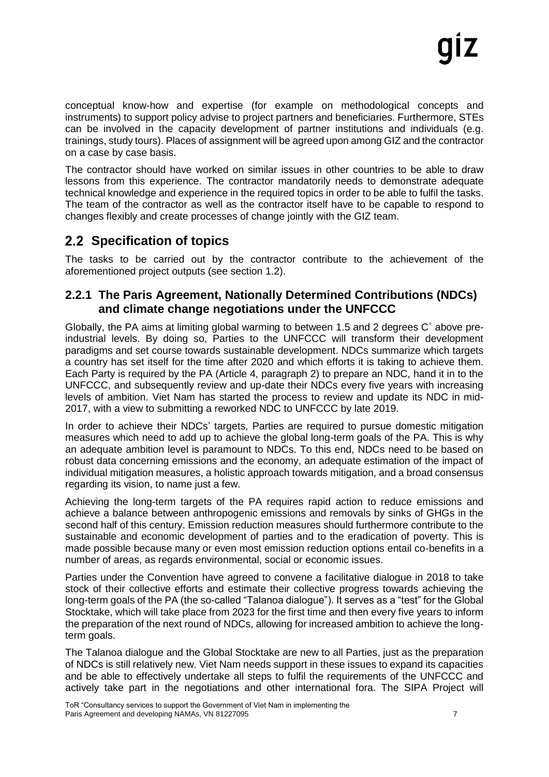conceptual know-how and expertise (for example on methodological concepts and instruments) to support policy advise to project partners and beneficiaries. Furthermore, STEs can be involved in the capacity development of partner institutions and individuals (e.g. trainings, study tours). Places of assignment will be agreed upon among GIZ and the contractor on a case by case basis.

The contractor should have worked on similar issues in other countries to be able to draw lessons from this experience. The contractor mandatorily needs to demonstrate adequate technical knowledge and experience in the required topics in order to be able to fulfil the tasks. The team of the contractor as well as the contractor itself have to be capable to respond to changes flexibly and create processes of change jointly with the GIZ team.

## <span id="page-6-0"></span>**Specification of topics**

The tasks to be carried out by the contractor contribute to the achievement of the aforementioned project outputs (see section 1.2).

#### <span id="page-6-1"></span>**2.2.1 The Paris Agreement, Nationally Determined Contributions (NDCs) and climate change negotiations under the UNFCCC**

Globally, the PA aims at limiting global warming to between 1.5 and 2 degrees C˚ above preindustrial levels. By doing so, Parties to the UNFCCC will transform their development paradigms and set course towards sustainable development. NDCs summarize which targets a country has set itself for the time after 2020 and which efforts it is taking to achieve them. Each Party is required by the PA (Article 4, paragraph 2) to prepare an NDC, hand it in to the UNFCCC, and subsequently review and up-date their NDCs every five years with increasing levels of ambition. Viet Nam has started the process to review and update its NDC in mid-2017, with a view to submitting a reworked NDC to UNFCCC by late 2019.

In order to achieve their NDCs' targets, Parties are required to pursue domestic mitigation measures which need to add up to achieve the global long-term goals of the PA. This is why an adequate ambition level is paramount to NDCs. To this end, NDCs need to be based on robust data concerning emissions and the economy, an adequate estimation of the impact of individual mitigation measures, a holistic approach towards mitigation, and a broad consensus regarding its vision, to name just a few.

Achieving the long-term targets of the PA requires rapid action to reduce emissions and achieve a balance between anthropogenic emissions and removals by sinks of GHGs in the second half of this century. Emission reduction measures should furthermore contribute to the sustainable and economic development of parties and to the eradication of poverty. This is made possible because many or even most emission reduction options entail co-benefits in a number of areas, as regards environmental, social or economic issues.

Parties under the Convention have agreed to convene a facilitative dialogue in 2018 to take stock of their collective efforts and estimate their collective progress towards achieving the long-term goals of the PA (the so-called "Talanoa dialogue"). It serves as a "test" for the Global Stocktake, which will take place from 2023 for the first time and then every five years to inform the preparation of the next round of NDCs, allowing for increased ambition to achieve the longterm goals.

The Talanoa dialogue and the Global Stocktake are new to all Parties, just as the preparation of NDCs is still relatively new. Viet Nam needs support in these issues to expand its capacities and be able to effectively undertake all steps to fulfil the requirements of the UNFCCC and actively take part in the negotiations and other international fora. The SIPA Project will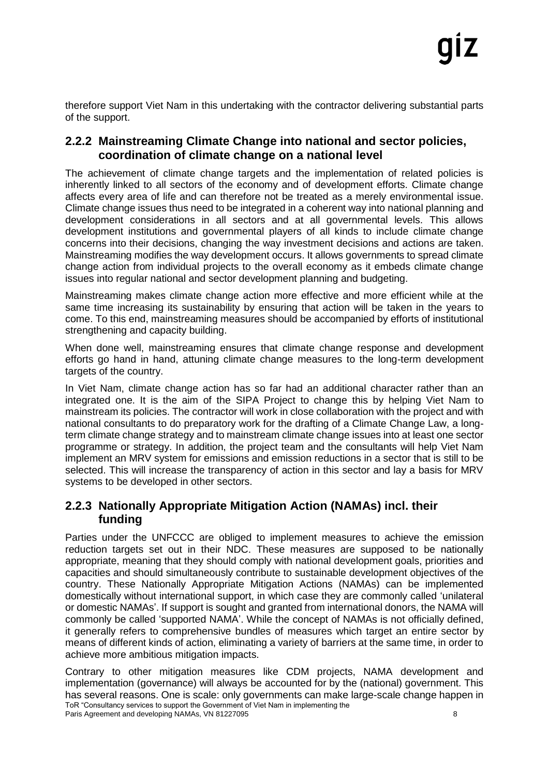therefore support Viet Nam in this undertaking with the contractor delivering substantial parts of the support.

#### <span id="page-7-0"></span>**2.2.2 Mainstreaming Climate Change into national and sector policies, coordination of climate change on a national level**

The achievement of climate change targets and the implementation of related policies is inherently linked to all sectors of the economy and of development efforts. Climate change affects every area of life and can therefore not be treated as a merely environmental issue. Climate change issues thus need to be integrated in a coherent way into national planning and development considerations in all sectors and at all governmental levels. This allows development institutions and governmental players of all kinds to include climate change concerns into their decisions, changing the way investment decisions and actions are taken. Mainstreaming modifies the way development occurs. It allows governments to spread climate change action from individual projects to the overall economy as it embeds climate change issues into regular national and sector development planning and budgeting.

Mainstreaming makes climate change action more effective and more efficient while at the same time increasing its sustainability by ensuring that action will be taken in the years to come. To this end, mainstreaming measures should be accompanied by efforts of institutional strengthening and capacity building.

When done well, mainstreaming ensures that climate change response and development efforts go hand in hand, attuning climate change measures to the long-term development targets of the country.

In Viet Nam, climate change action has so far had an additional character rather than an integrated one. It is the aim of the SIPA Project to change this by helping Viet Nam to mainstream its policies. The contractor will work in close collaboration with the project and with national consultants to do preparatory work for the drafting of a Climate Change Law, a longterm climate change strategy and to mainstream climate change issues into at least one sector programme or strategy. In addition, the project team and the consultants will help Viet Nam implement an MRV system for emissions and emission reductions in a sector that is still to be selected. This will increase the transparency of action in this sector and lay a basis for MRV systems to be developed in other sectors.

#### <span id="page-7-1"></span>**2.2.3 Nationally Appropriate Mitigation Action (NAMAs) incl. their funding**

Parties under the UNFCCC are obliged to implement measures to achieve the emission reduction targets set out in their NDC. These measures are supposed to be nationally appropriate, meaning that they should comply with national development goals, priorities and capacities and should simultaneously contribute to sustainable development objectives of the country. These Nationally Appropriate Mitigation Actions (NAMAs) can be implemented domestically without international support, in which case they are commonly called 'unilateral or domestic NAMAs'. If support is sought and granted from international donors, the NAMA will commonly be called 'supported NAMA'. While the concept of NAMAs is not officially defined, it generally refers to comprehensive bundles of measures which target an entire sector by means of different kinds of action, eliminating a variety of barriers at the same time, in order to achieve more ambitious mitigation impacts.

ToR "Consultancy services to support the Government of Viet Nam in implementing the Paris Agreement and developing NAMAs, VN 81227095 Contrary to other mitigation measures like CDM projects, NAMA development and implementation (governance) will always be accounted for by the (national) government. This has several reasons. One is scale: only governments can make large-scale change happen in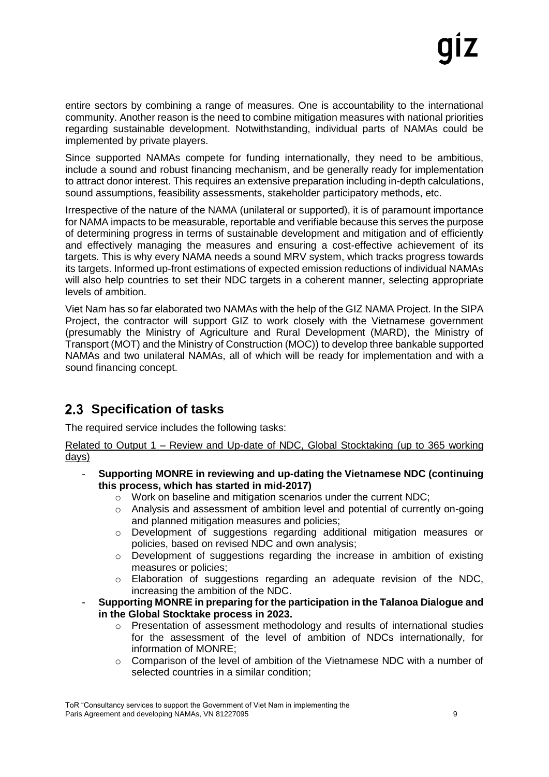entire sectors by combining a range of measures. One is accountability to the international community. Another reason is the need to combine mitigation measures with national priorities regarding sustainable development. Notwithstanding, individual parts of NAMAs could be implemented by private players.

Since supported NAMAs compete for funding internationally, they need to be ambitious, include a sound and robust financing mechanism, and be generally ready for implementation to attract donor interest. This requires an extensive preparation including in-depth calculations, sound assumptions, feasibility assessments, stakeholder participatory methods, etc.

Irrespective of the nature of the NAMA (unilateral or supported), it is of paramount importance for NAMA impacts to be measurable, reportable and verifiable because this serves the purpose of determining progress in terms of sustainable development and mitigation and of efficiently and effectively managing the measures and ensuring a cost-effective achievement of its targets. This is why every NAMA needs a sound MRV system, which tracks progress towards its targets. Informed up-front estimations of expected emission reductions of individual NAMAs will also help countries to set their NDC targets in a coherent manner, selecting appropriate levels of ambition.

Viet Nam has so far elaborated two NAMAs with the help of the GIZ NAMA Project. In the SIPA Project, the contractor will support GIZ to work closely with the Vietnamese government (presumably the Ministry of Agriculture and Rural Development (MARD), the Ministry of Transport (MOT) and the Ministry of Construction (MOC)) to develop three bankable supported NAMAs and two unilateral NAMAs, all of which will be ready for implementation and with a sound financing concept.

## <span id="page-8-0"></span>**2.3 Specification of tasks**

The required service includes the following tasks:

Related to Output 1 – Review and Up-date of NDC, Global Stocktaking (up to 365 working days)

- **Supporting MONRE in reviewing and up-dating the Vietnamese NDC (continuing this process, which has started in mid-2017)**
	- o Work on baseline and mitigation scenarios under the current NDC;
	- o Analysis and assessment of ambition level and potential of currently on-going and planned mitigation measures and policies;
	- o Development of suggestions regarding additional mitigation measures or policies, based on revised NDC and own analysis;
	- o Development of suggestions regarding the increase in ambition of existing measures or policies;
	- o Elaboration of suggestions regarding an adequate revision of the NDC, increasing the ambition of the NDC.
- **Supporting MONRE in preparing for the participation in the Talanoa Dialogue and in the Global Stocktake process in 2023.**
	- o Presentation of assessment methodology and results of international studies for the assessment of the level of ambition of NDCs internationally, for information of MONRE;
	- o Comparison of the level of ambition of the Vietnamese NDC with a number of selected countries in a similar condition;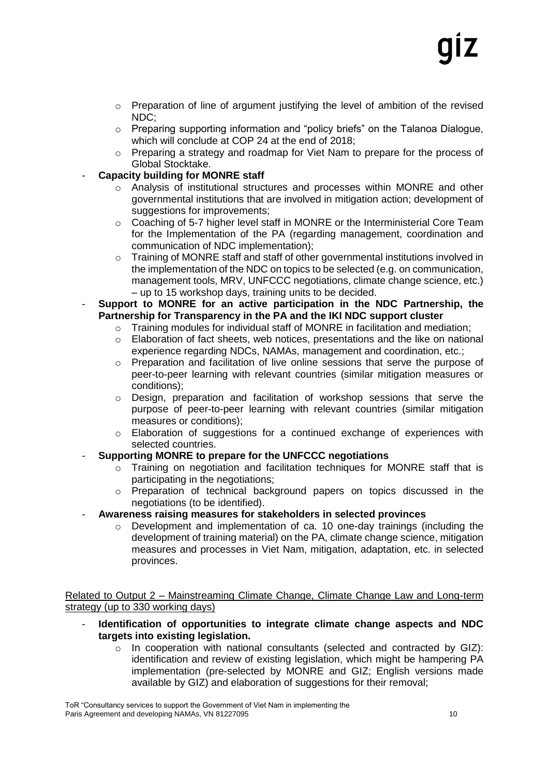- $\circ$  Preparation of line of argument justifying the level of ambition of the revised NDC;
- o Preparing supporting information and "policy briefs" on the Talanoa Dialogue, which will conclude at COP 24 at the end of 2018;
- o Preparing a strategy and roadmap for Viet Nam to prepare for the process of Global Stocktake.
- **Capacity building for MONRE staff** 
	- $\circ$  Analysis of institutional structures and processes within MONRE and other governmental institutions that are involved in mitigation action; development of suggestions for improvements;
	- $\circ$  Coaching of 5-7 higher level staff in MONRE or the Interministerial Core Team for the Implementation of the PA (regarding management, coordination and communication of NDC implementation);
	- o Training of MONRE staff and staff of other governmental institutions involved in the implementation of the NDC on topics to be selected (e.g. on communication, management tools, MRV, UNFCCC negotiations, climate change science, etc.) – up to 15 workshop days, training units to be decided.
- **Support to MONRE for an active participation in the NDC Partnership, the Partnership for Transparency in the PA and the IKI NDC support cluster**
	- o Training modules for individual staff of MONRE in facilitation and mediation;
	- $\circ$  Elaboration of fact sheets, web notices, presentations and the like on national experience regarding NDCs, NAMAs, management and coordination, etc.:
	- o Preparation and facilitation of live online sessions that serve the purpose of peer-to-peer learning with relevant countries (similar mitigation measures or conditions);
	- o Design, preparation and facilitation of workshop sessions that serve the purpose of peer-to-peer learning with relevant countries (similar mitigation measures or conditions);
	- o Elaboration of suggestions for a continued exchange of experiences with selected countries.
- **Supporting MONRE to prepare for the UNFCCC negotiations**
	- o Training on negotiation and facilitation techniques for MONRE staff that is participating in the negotiations;
	- o Preparation of technical background papers on topics discussed in the negotiations (to be identified).
- **Awareness raising measures for stakeholders in selected provinces**
	- $\circ$  Development and implementation of ca. 10 one-day trainings (including the development of training material) on the PA, climate change science, mitigation measures and processes in Viet Nam, mitigation, adaptation, etc. in selected provinces.

Related to Output 2 – Mainstreaming Climate Change, Climate Change Law and Long-term strategy (up to 330 working days)

- **Identification of opportunities to integrate climate change aspects and NDC targets into existing legislation.**
	- $\circ$  In cooperation with national consultants (selected and contracted by GIZ): identification and review of existing legislation, which might be hampering PA implementation (pre-selected by MONRE and GIZ; English versions made available by GIZ) and elaboration of suggestions for their removal;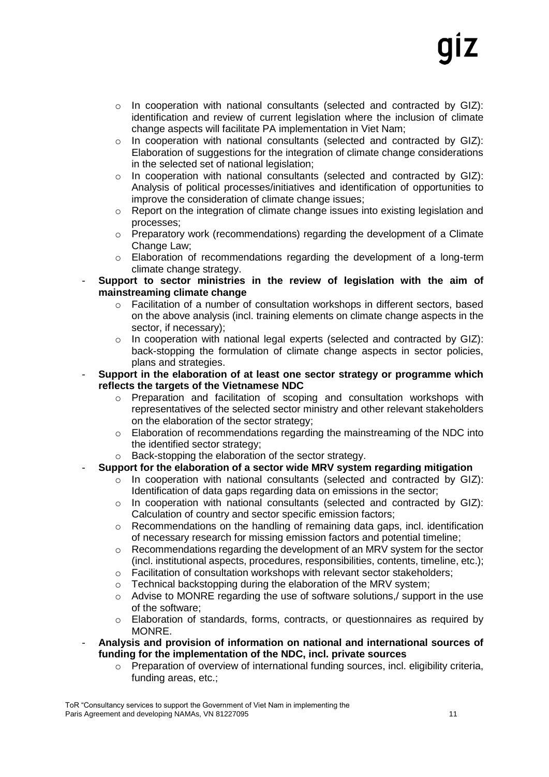- $\circ$  In cooperation with national consultants (selected and contracted by GIZ): identification and review of current legislation where the inclusion of climate change aspects will facilitate PA implementation in Viet Nam;
- o In cooperation with national consultants (selected and contracted by GIZ): Elaboration of suggestions for the integration of climate change considerations in the selected set of national legislation;
- o In cooperation with national consultants (selected and contracted by GIZ): Analysis of political processes/initiatives and identification of opportunities to improve the consideration of climate change issues;
- o Report on the integration of climate change issues into existing legislation and processes;
- o Preparatory work (recommendations) regarding the development of a Climate Change Law;
- o Elaboration of recommendations regarding the development of a long-term climate change strategy.
- **Support to sector ministries in the review of legislation with the aim of mainstreaming climate change**
	- o Facilitation of a number of consultation workshops in different sectors, based on the above analysis (incl. training elements on climate change aspects in the sector, if necessary);
	- $\circ$  In cooperation with national legal experts (selected and contracted by GIZ): back-stopping the formulation of climate change aspects in sector policies, plans and strategies.
- **Support in the elaboration of at least one sector strategy or programme which reflects the targets of the Vietnamese NDC**
	- o Preparation and facilitation of scoping and consultation workshops with representatives of the selected sector ministry and other relevant stakeholders on the elaboration of the sector strategy;
	- $\circ$  Elaboration of recommendations regarding the mainstreaming of the NDC into the identified sector strategy;
	- o Back-stopping the elaboration of the sector strategy.
- **Support for the elaboration of a sector wide MRV system regarding mitigation**
	- $\circ$  In cooperation with national consultants (selected and contracted by GIZ): Identification of data gaps regarding data on emissions in the sector;
	- o In cooperation with national consultants (selected and contracted by GIZ): Calculation of country and sector specific emission factors;
	- $\circ$  Recommendations on the handling of remaining data gaps, incl. identification of necessary research for missing emission factors and potential timeline;
	- o Recommendations regarding the development of an MRV system for the sector (incl. institutional aspects, procedures, responsibilities, contents, timeline, etc.);
	- o Facilitation of consultation workshops with relevant sector stakeholders;
	- $\circ$  Technical backstopping during the elaboration of the MRV system;
	- $\circ$  Advise to MONRE regarding the use of software solutions, support in the use of the software;
	- $\circ$  Elaboration of standards, forms, contracts, or questionnaires as required by MONRE.
- **Analysis and provision of information on national and international sources of funding for the implementation of the NDC, incl. private sources**
	- $\circ$  Preparation of overview of international funding sources, incl. eligibility criteria, funding areas, etc.;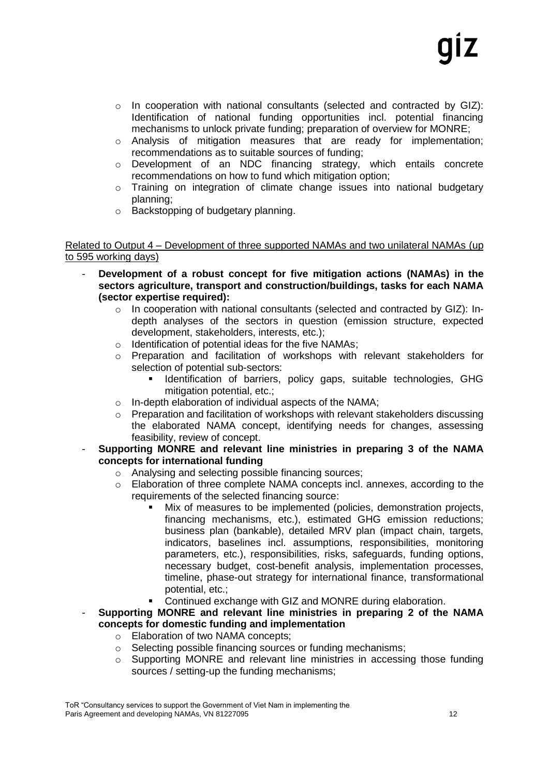- $\circ$  In cooperation with national consultants (selected and contracted by GIZ): Identification of national funding opportunities incl. potential financing mechanisms to unlock private funding; preparation of overview for MONRE;
- o Analysis of mitigation measures that are ready for implementation; recommendations as to suitable sources of funding;
- o Development of an NDC financing strategy, which entails concrete recommendations on how to fund which mitigation option;
- $\circ$  Training on integration of climate change issues into national budgetary planning;
- o Backstopping of budgetary planning.

Related to Output 4 – Development of three supported NAMAs and two unilateral NAMAs (up to 595 working days)

- **Development of a robust concept for five mitigation actions (NAMAs) in the sectors agriculture, transport and construction/buildings, tasks for each NAMA (sector expertise required):**
	- $\circ$  In cooperation with national consultants (selected and contracted by GIZ): Indepth analyses of the sectors in question (emission structure, expected development, stakeholders, interests, etc.);
	- o Identification of potential ideas for the five NAMAs;
	- o Preparation and facilitation of workshops with relevant stakeholders for selection of potential sub-sectors:
		- Identification of barriers, policy gaps, suitable technologies, GHG mitigation potential, etc.;
	- o In-depth elaboration of individual aspects of the NAMA;
	- o Preparation and facilitation of workshops with relevant stakeholders discussing the elaborated NAMA concept, identifying needs for changes, assessing feasibility, review of concept.
- **Supporting MONRE and relevant line ministries in preparing 3 of the NAMA concepts for international funding**
	- o Analysing and selecting possible financing sources;
	- $\circ$  Elaboration of three complete NAMA concepts incl. annexes, according to the requirements of the selected financing source:
		- Mix of measures to be implemented (policies, demonstration projects, financing mechanisms, etc.), estimated GHG emission reductions; business plan (bankable), detailed MRV plan (impact chain, targets, indicators, baselines incl. assumptions, responsibilities, monitoring parameters, etc.), responsibilities, risks, safeguards, funding options, necessary budget, cost-benefit analysis, implementation processes, timeline, phase-out strategy for international finance, transformational potential, etc.;
		- Continued exchange with GIZ and MONRE during elaboration.
- **Supporting MONRE and relevant line ministries in preparing 2 of the NAMA concepts for domestic funding and implementation**
	- o Elaboration of two NAMA concepts;
	- o Selecting possible financing sources or funding mechanisms;
	- $\circ$  Supporting MONRE and relevant line ministries in accessing those funding sources / setting-up the funding mechanisms;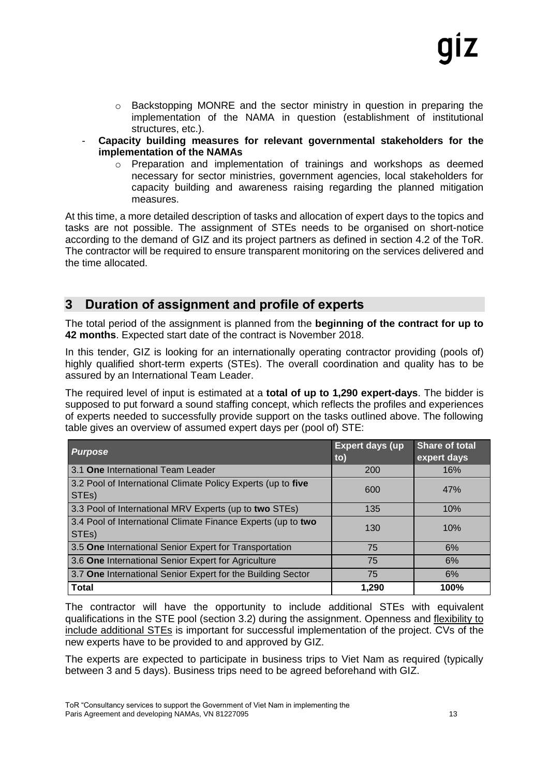- $\circ$  Backstopping MONRE and the sector ministry in question in preparing the implementation of the NAMA in question (establishment of institutional structures, etc.).
- **Capacity building measures for relevant governmental stakeholders for the implementation of the NAMAs**
	- o Preparation and implementation of trainings and workshops as deemed necessary for sector ministries, government agencies, local stakeholders for capacity building and awareness raising regarding the planned mitigation measures.

At this time, a more detailed description of tasks and allocation of expert days to the topics and tasks are not possible. The assignment of STEs needs to be organised on short-notice according to the demand of GIZ and its project partners as defined in section [4.2](#page-16-2) of the ToR. The contractor will be required to ensure transparent monitoring on the services delivered and the time allocated.

### <span id="page-12-0"></span>**3 Duration of assignment and profile of experts**

The total period of the assignment is planned from the **beginning of the contract for up to 42 months**. Expected start date of the contract is November 2018.

In this tender, GIZ is looking for an internationally operating contractor providing (pools of) highly qualified short-term experts (STEs). The overall coordination and quality has to be assured by an International Team Leader.

The required level of input is estimated at a **total of up to 1,290 expert-days**. The bidder is supposed to put forward a sound staffing concept, which reflects the profiles and experiences of experts needed to successfully provide support on the tasks outlined above. The following table gives an overview of assumed expert days per (pool of) STE:

| <b>Purpose</b>                                                                     | <b>Expert days (up</b><br>to) | <b>Share of total</b><br>expert days |
|------------------------------------------------------------------------------------|-------------------------------|--------------------------------------|
| 3.1 One International Team Leader                                                  | 200                           | 16%                                  |
| 3.2 Pool of International Climate Policy Experts (up to five<br>STE <sub>s</sub> ) | 600                           | 47%                                  |
| 3.3 Pool of International MRV Experts (up to two STEs)                             | 135                           | 10%                                  |
| 3.4 Pool of International Climate Finance Experts (up to two<br>STE <sub>s</sub> ) | 130                           | 10%                                  |
| 3.5 One International Senior Expert for Transportation                             | 75                            | 6%                                   |
| 3.6 One International Senior Expert for Agriculture                                | 75                            | 6%                                   |
| 3.7 One International Senior Expert for the Building Sector                        | 75                            | 6%                                   |
| <b>Total</b>                                                                       | 1,290                         | 100%                                 |

The contractor will have the opportunity to include additional STEs with equivalent qualifications in the STE pool (section 3.2) during the assignment. Openness and flexibility to include additional STEs is important for successful implementation of the project. CVs of the new experts have to be provided to and approved by GIZ.

The experts are expected to participate in business trips to Viet Nam as required (typically between 3 and 5 days). Business trips need to be agreed beforehand with GIZ.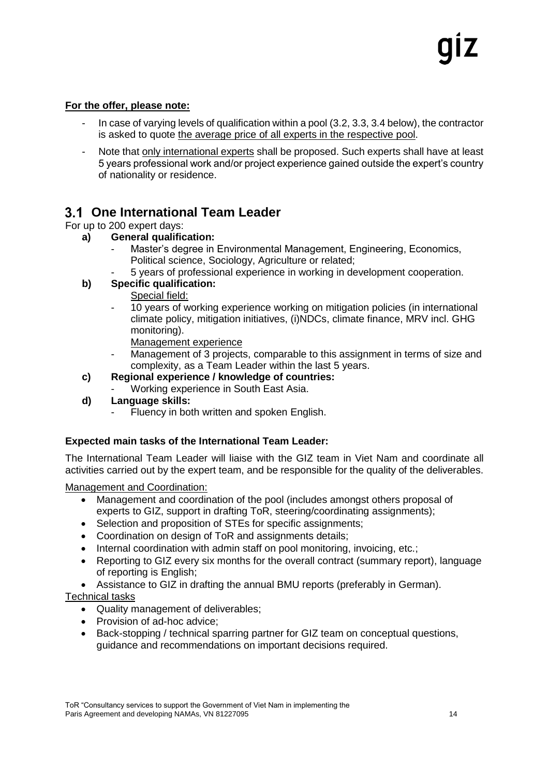#### **For the offer, please note:**

- In case of varying levels of qualification within a pool (3.2, 3.3, 3.4 below), the contractor is asked to quote the average price of all experts in the respective pool.
- Note that only international experts shall be proposed. Such experts shall have at least 5 years professional work and/or project experience gained outside the expert's country of nationality or residence.

### <span id="page-13-0"></span>**One International Team Leader**

#### For up to 200 expert days:

- **a) General qualification:** 
	- Master's degree in Environmental Management, Engineering, Economics, Political science, Sociology, Agriculture or related;
	- 5 years of professional experience in working in development cooperation.

#### **b) Specific qualification:**

- Special field:
- 10 years of working experience working on mitigation policies (in international climate policy, mitigation initiatives, (i)NDCs, climate finance, MRV incl. GHG monitoring).
	- Management experience
- Management of 3 projects, comparable to this assignment in terms of size and complexity, as a Team Leader within the last 5 years.
- **c) Regional experience / knowledge of countries:** 
	- Working experience in South East Asia.
- **d) Language skills:** 
	- Fluency in both written and spoken English.

#### **Expected main tasks of the International Team Leader:**

The International Team Leader will liaise with the GIZ team in Viet Nam and coordinate all activities carried out by the expert team, and be responsible for the quality of the deliverables.

#### Management and Coordination:

- Management and coordination of the pool (includes amongst others proposal of experts to GIZ, support in drafting ToR, steering/coordinating assignments);
- Selection and proposition of STEs for specific assignments;
- Coordination on design of ToR and assignments details;
- Internal coordination with admin staff on pool monitoring, invoicing, etc.;
- Reporting to GIZ every six months for the overall contract (summary report), language of reporting is English;
- Assistance to GIZ in drafting the annual BMU reports (preferably in German).

#### Technical tasks

- Quality management of deliverables;
- Provision of ad-hoc advice;
- Back-stopping / technical sparring partner for GIZ team on conceptual questions, guidance and recommendations on important decisions required.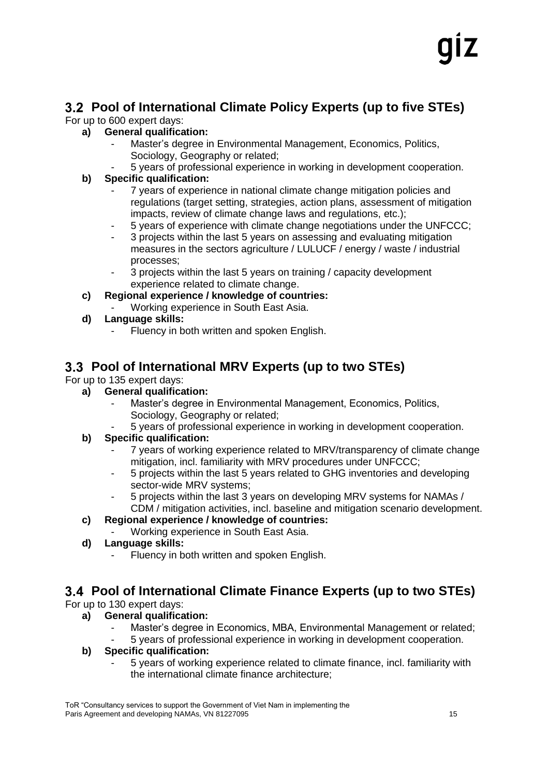# <span id="page-14-0"></span>**Pool of International Climate Policy Experts (up to five STEs)**

For up to 600 expert days:

## **a) General qualification:**

- Master's degree in Environmental Management, Economics, Politics, Sociology, Geography or related;
	- 5 years of professional experience in working in development cooperation.

## **b) Specific qualification:**

- 7 years of experience in national climate change mitigation policies and regulations (target setting, strategies, action plans, assessment of mitigation impacts, review of climate change laws and regulations, etc.);
- 5 years of experience with climate change negotiations under the UNFCCC;
- 3 projects within the last 5 years on assessing and evaluating mitigation measures in the sectors agriculture / LULUCF / energy / waste / industrial processes;
- 3 projects within the last 5 years on training / capacity development experience related to climate change.
- **c) Regional experience / knowledge of countries:** 
	- Working experience in South East Asia.
- **d) Language skills:** 
	- Fluency in both written and spoken English.

## **Pool of International MRV Experts (up to two STEs)**

For up to 135 expert days:

- **a) General qualification:**
	- Master's degree in Environmental Management, Economics, Politics, Sociology, Geography or related;
	- 5 years of professional experience in working in development cooperation.

## **b) Specific qualification:**

- 7 years of working experience related to MRV/transparency of climate change mitigation, incl. familiarity with MRV procedures under UNFCCC;
- 5 projects within the last 5 years related to GHG inventories and developing sector-wide MRV systems;
- 5 projects within the last 3 years on developing MRV systems for NAMAs / CDM / mitigation activities, incl. baseline and mitigation scenario development.
- **c) Regional experience / knowledge of countries:**
	- Working experience in South East Asia.
- **d) Language skills:**
	- Fluency in both written and spoken English.

## **Pool of International Climate Finance Experts (up to two STEs)**

For up to 130 expert days:

## **a) General qualification:**

- Master's degree in Economics, MBA, Environmental Management or related;
- 5 years of professional experience in working in development cooperation.

## **b) Specific qualification:**

- 5 years of working experience related to climate finance, incl. familiarity with the international climate finance architecture;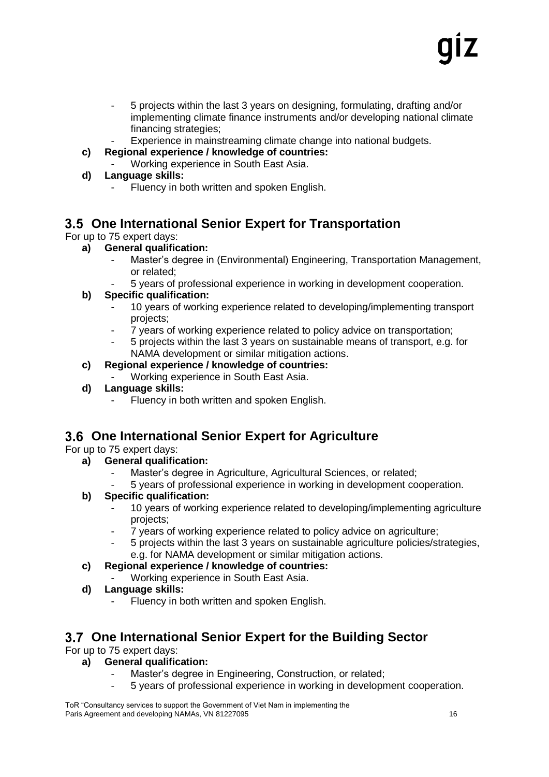- 5 projects within the last 3 years on designing, formulating, drafting and/or implementing climate finance instruments and/or developing national climate financing strategies;
- Experience in mainstreaming climate change into national budgets.
- **c) Regional experience / knowledge of countries:**
	- Working experience in South East Asia.
- **d) Language skills:**
	- Fluency in both written and spoken English.

## **One International Senior Expert for Transportation**

For up to 75 expert days:

#### **a) General qualification:**

- Master's degree in (Environmental) Engineering, Transportation Management, or related;
- 5 years of professional experience in working in development cooperation.

#### **b) Specific qualification:**

- 10 years of working experience related to developing/implementing transport projects;
- 7 years of working experience related to policy advice on transportation;
- 5 projects within the last 3 years on sustainable means of transport, e.g. for NAMA development or similar mitigation actions.

#### **c) Regional experience / knowledge of countries:**

- Working experience in South East Asia.
- **d) Language skills:**
	- Fluency in both written and spoken English.

## **One International Senior Expert for Agriculture**

For up to 75 expert days:

- **a) General qualification:**
	- Master's degree in Agriculture, Agricultural Sciences, or related;
	- 5 years of professional experience in working in development cooperation.

#### **b) Specific qualification:**

- 10 years of working experience related to developing/implementing agriculture projects;
- 7 years of working experience related to policy advice on agriculture;
- 5 projects within the last 3 years on sustainable agriculture policies/strategies, e.g. for NAMA development or similar mitigation actions.
- **c) Regional experience / knowledge of countries:**
	- Working experience in South East Asia.
- **d) Language skills:**
	- Fluency in both written and spoken English.

#### **One International Senior Expert for the Building Sector**

For up to 75 expert days:

#### **a) General qualification:**

- Master's degree in Engineering, Construction, or related;
- 5 years of professional experience in working in development cooperation.

ToR "Consultancy services to support the Government of Viet Nam in implementing the Paris Agreement and developing NAMAs, VN 81227095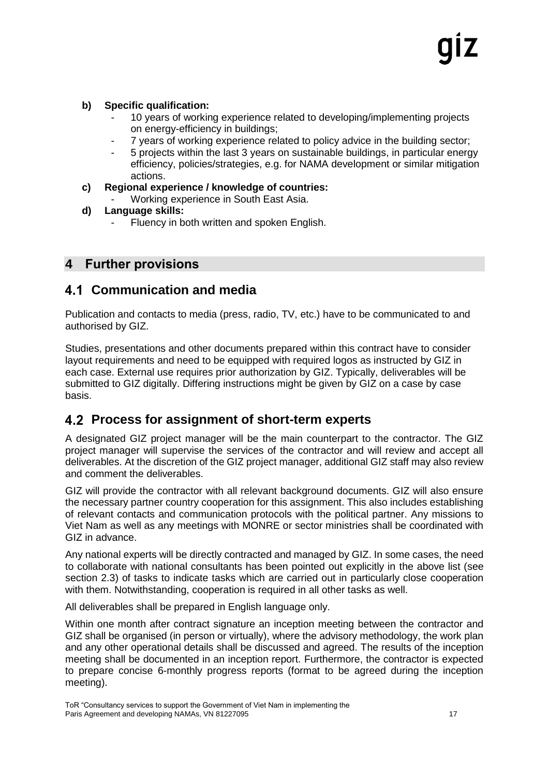#### **b) Specific qualification:**

- 10 years of working experience related to developing/implementing projects on energy-efficiency in buildings;
- 7 years of working experience related to policy advice in the building sector;
- 5 projects within the last 3 years on sustainable buildings, in particular energy efficiency, policies/strategies, e.g. for NAMA development or similar mitigation actions.
- **c) Regional experience / knowledge of countries:**
	- Working experience in South East Asia.
- **d) Language skills:**
	- Fluency in both written and spoken English.

### <span id="page-16-0"></span>**4 Further provisions**

#### <span id="page-16-1"></span>**Communication and media**

Publication and contacts to media (press, radio, TV, etc.) have to be communicated to and authorised by GIZ.

Studies, presentations and other documents prepared within this contract have to consider layout requirements and need to be equipped with required logos as instructed by GIZ in each case. External use requires prior authorization by GIZ. Typically, deliverables will be submitted to GIZ digitally. Differing instructions might be given by GIZ on a case by case basis.

## <span id="page-16-2"></span>**Process for assignment of short-term experts**

A designated GIZ project manager will be the main counterpart to the contractor. The GIZ project manager will supervise the services of the contractor and will review and accept all deliverables. At the discretion of the GIZ project manager, additional GIZ staff may also review and comment the deliverables.

GIZ will provide the contractor with all relevant background documents. GIZ will also ensure the necessary partner country cooperation for this assignment. This also includes establishing of relevant contacts and communication protocols with the political partner. Any missions to Viet Nam as well as any meetings with MONRE or sector ministries shall be coordinated with GIZ in advance.

Any national experts will be directly contracted and managed by GIZ. In some cases, the need to collaborate with national consultants has been pointed out explicitly in the above list (see section 2.3) of tasks to indicate tasks which are carried out in particularly close cooperation with them. Notwithstanding, cooperation is required in all other tasks as well.

All deliverables shall be prepared in English language only.

Within one month after contract signature an inception meeting between the contractor and GIZ shall be organised (in person or virtually), where the advisory methodology, the work plan and any other operational details shall be discussed and agreed. The results of the inception meeting shall be documented in an inception report. Furthermore, the contractor is expected to prepare concise 6-monthly progress reports (format to be agreed during the inception meeting).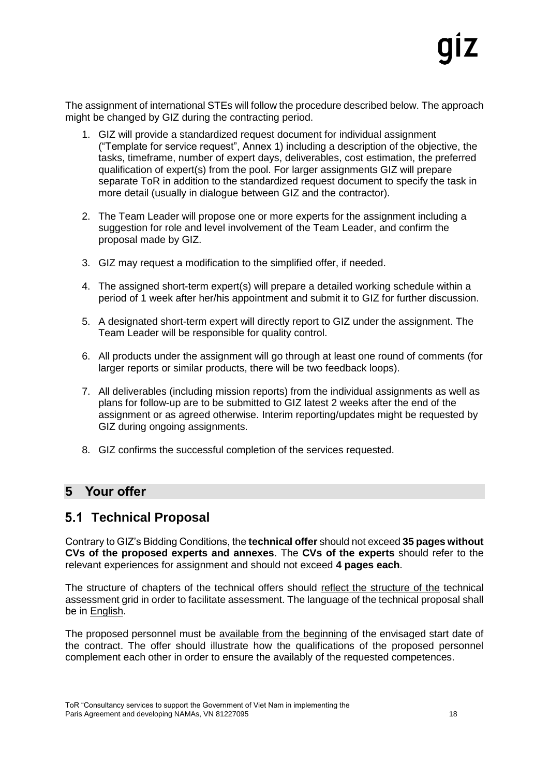The assignment of international STEs will follow the procedure described below. The approach might be changed by GIZ during the contracting period.

- 1. GIZ will provide a standardized request document for individual assignment ("Template for service request", Annex 1) including a description of the objective, the tasks, timeframe, number of expert days, deliverables, cost estimation, the preferred qualification of expert(s) from the pool. For larger assignments GIZ will prepare separate ToR in addition to the standardized request document to specify the task in more detail (usually in dialogue between GIZ and the contractor).
- 2. The Team Leader will propose one or more experts for the assignment including a suggestion for role and level involvement of the Team Leader, and confirm the proposal made by GIZ.
- 3. GIZ may request a modification to the simplified offer, if needed.
- 4. The assigned short-term expert(s) will prepare a detailed working schedule within a period of 1 week after her/his appointment and submit it to GIZ for further discussion.
- 5. A designated short-term expert will directly report to GIZ under the assignment. The Team Leader will be responsible for quality control.
- 6. All products under the assignment will go through at least one round of comments (for larger reports or similar products, there will be two feedback loops).
- 7. All deliverables (including mission reports) from the individual assignments as well as plans for follow-up are to be submitted to GIZ latest 2 weeks after the end of the assignment or as agreed otherwise. Interim reporting/updates might be requested by GIZ during ongoing assignments.
- 8. GIZ confirms the successful completion of the services requested.

## <span id="page-17-0"></span>**5 Your offer**

## <span id="page-17-1"></span>**Technical Proposal**

Contrary to GIZ's Bidding Conditions, the **technical offer** should not exceed **35 pages without CVs of the proposed experts and annexes**. The **CVs of the experts** should refer to the relevant experiences for assignment and should not exceed **4 pages each**.

The structure of chapters of the technical offers should reflect the structure of the technical assessment grid in order to facilitate assessment. The language of the technical proposal shall be in English.

The proposed personnel must be available from the beginning of the envisaged start date of the contract. The offer should illustrate how the qualifications of the proposed personnel complement each other in order to ensure the availably of the requested competences.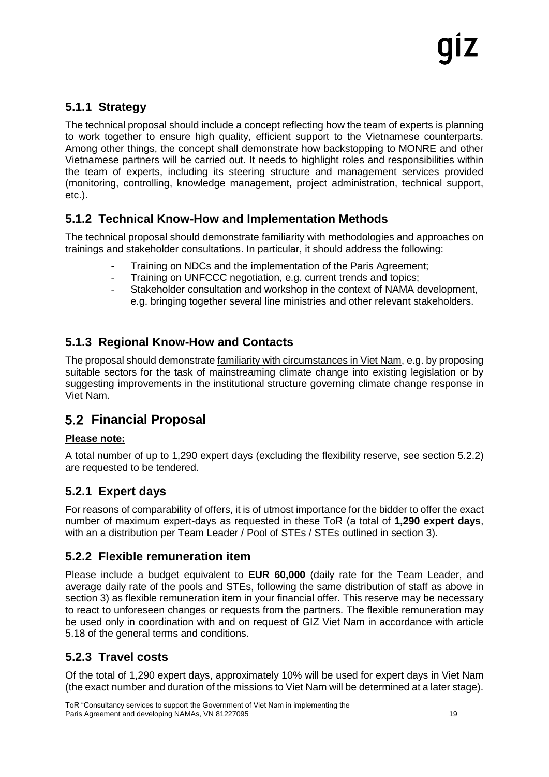### <span id="page-18-0"></span>**5.1.1 Strategy**

The technical proposal should include a concept reflecting how the team of experts is planning to work together to ensure high quality, efficient support to the Vietnamese counterparts. Among other things, the concept shall demonstrate how backstopping to MONRE and other Vietnamese partners will be carried out. It needs to highlight roles and responsibilities within the team of experts, including its steering structure and management services provided (monitoring, controlling, knowledge management, project administration, technical support, etc.).

#### <span id="page-18-1"></span>**5.1.2 Technical Know-How and Implementation Methods**

The technical proposal should demonstrate familiarity with methodologies and approaches on trainings and stakeholder consultations. In particular, it should address the following:

- Training on NDCs and the implementation of the Paris Agreement;
- Training on UNFCCC negotiation, e.g. current trends and topics;
- Stakeholder consultation and workshop in the context of NAMA development. e.g. bringing together several line ministries and other relevant stakeholders.

#### <span id="page-18-2"></span>**5.1.3 Regional Know-How and Contacts**

The proposal should demonstrate familiarity with circumstances in Viet Nam, e.g. by proposing suitable sectors for the task of mainstreaming climate change into existing legislation or by suggesting improvements in the institutional structure governing climate change response in Viet Nam.

## <span id="page-18-3"></span>**Financial Proposal**

#### **Please note:**

A total number of up to 1,290 expert days (excluding the flexibility reserve, see section 5.2.2) are requested to be tendered.

#### <span id="page-18-4"></span>**5.2.1 Expert days**

For reasons of comparability of offers, it is of utmost importance for the bidder to offer the exact number of maximum expert-days as requested in these ToR (a total of **1,290 expert days**, with an a distribution per Team Leader / Pool of STEs / STEs outlined in section 3).

#### <span id="page-18-5"></span>**5.2.2 Flexible remuneration item**

Please include a budget equivalent to **EUR 60,000** (daily rate for the Team Leader, and average daily rate of the pools and STEs, following the same distribution of staff as above in section 3) as flexible remuneration item in your financial offer. This reserve may be necessary to react to unforeseen changes or requests from the partners. The flexible remuneration may be used only in coordination with and on request of GIZ Viet Nam in accordance with article 5.18 of the general terms and conditions.

#### <span id="page-18-6"></span>**5.2.3 Travel costs**

Of the total of 1,290 expert days, approximately 10% will be used for expert days in Viet Nam (the exact number and duration of the missions to Viet Nam will be determined at a later stage).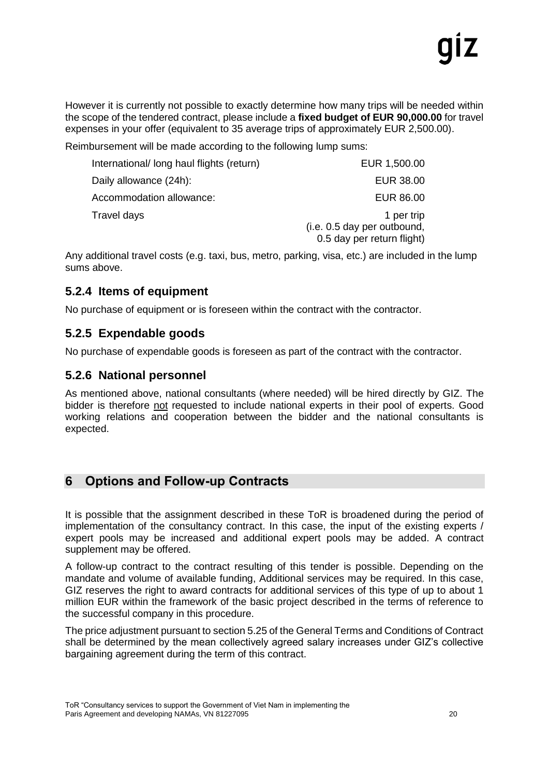However it is currently not possible to exactly determine how many trips will be needed within the scope of the tendered contract, please include a **fixed budget of EUR 90,000.00** for travel expenses in your offer (equivalent to 35 average trips of approximately EUR 2,500.00).

Reimbursement will be made according to the following lump sums:

| International/ long haul flights (return) | EUR 1,500.00                                                            |
|-------------------------------------------|-------------------------------------------------------------------------|
| Daily allowance (24h):                    | EUR 38.00                                                               |
| Accommodation allowance:                  | EUR 86.00                                                               |
| Travel days                               | 1 per trip<br>(i.e. 0.5 day per outbound,<br>0.5 day per return flight) |

Any additional travel costs (e.g. taxi, bus, metro, parking, visa, etc.) are included in the lump sums above.

#### <span id="page-19-0"></span>**5.2.4 Items of equipment**

No purchase of equipment or is foreseen within the contract with the contractor.

#### <span id="page-19-1"></span>**5.2.5 Expendable goods**

No purchase of expendable goods is foreseen as part of the contract with the contractor.

#### <span id="page-19-2"></span>**5.2.6 National personnel**

As mentioned above, national consultants (where needed) will be hired directly by GIZ. The bidder is therefore not requested to include national experts in their pool of experts. Good working relations and cooperation between the bidder and the national consultants is expected.

## <span id="page-19-3"></span>**6 Options and Follow-up Contracts**

It is possible that the assignment described in these ToR is broadened during the period of implementation of the consultancy contract. In this case, the input of the existing experts / expert pools may be increased and additional expert pools may be added. A contract supplement may be offered.

A follow-up contract to the contract resulting of this tender is possible. Depending on the mandate and volume of available funding, Additional services may be required. In this case, GIZ reserves the right to award contracts for additional services of this type of up to about 1 million EUR within the framework of the basic project described in the terms of reference to the successful company in this procedure.

The price adjustment pursuant to section 5.25 of the General Terms and Conditions of Contract shall be determined by the mean collectively agreed salary increases under GIZ's collective bargaining agreement during the term of this contract.